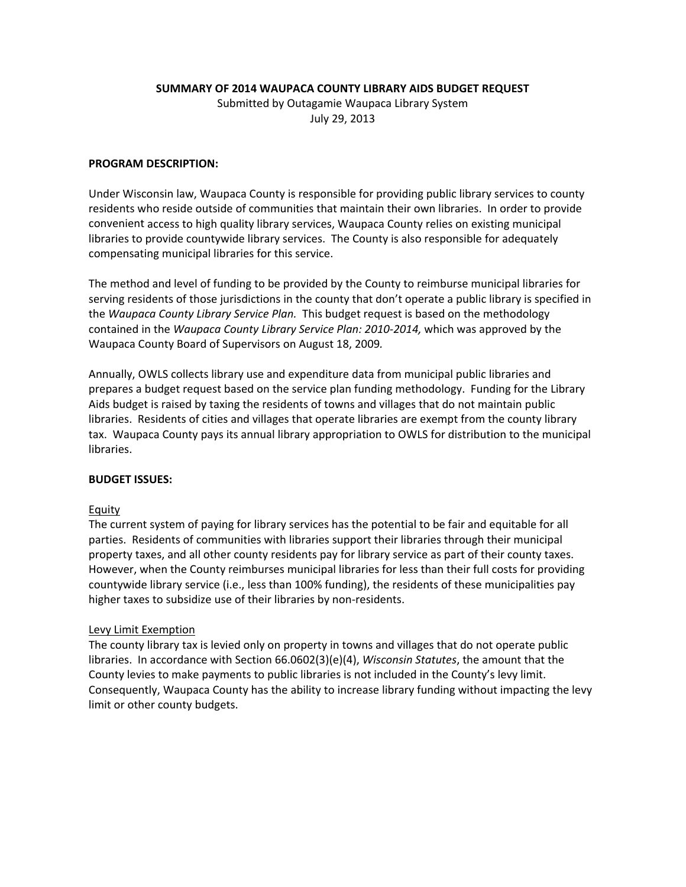### **SUMMARY OF 2014 WAUPACA COUNTY LIBRARY AIDS BUDGET REQUEST**

Submitted by Outagamie Waupaca Library System July 29, 2013

### **PROGRAM DESCRIPTION:**

Under Wisconsin law, Waupaca County is responsible for providing public library services to county residents who reside outside of communities that maintain their own libraries. In order to provide convenient access to high quality library services, Waupaca County relies on existing municipal libraries to provide countywide library services. The County is also responsible for adequately compensating municipal libraries for this service.

The method and level of funding to be provided by the County to reimburse municipal libraries for serving residents of those jurisdictions in the county that don't operate a public library is specified in the *Waupaca County Library Service Plan.* This budget request is based on the methodology contained in the *Waupaca County Library Service Plan: 2010‐2014,* which was approved by the Waupaca County Board of Supervisors on August 18, 2009*.*

Annually, OWLS collects library use and expenditure data from municipal public libraries and prepares a budget request based on the service plan funding methodology. Funding for the Library Aids budget is raised by taxing the residents of towns and villages that do not maintain public libraries. Residents of cities and villages that operate libraries are exempt from the county library tax. Waupaca County pays its annual library appropriation to OWLS for distribution to the municipal libraries.

#### **BUDGET ISSUES:**

#### Equity

The current system of paying for library services has the potential to be fair and equitable for all parties. Residents of communities with libraries support their libraries through their municipal property taxes, and all other county residents pay for library service as part of their county taxes. However, when the County reimburses municipal libraries for less than their full costs for providing countywide library service (i.e., less than 100% funding), the residents of these municipalities pay higher taxes to subsidize use of their libraries by non-residents.

#### Levy Limit Exemption

The county library tax is levied only on property in towns and villages that do not operate public libraries. In accordance with Section 66.0602(3)(e)(4), *Wisconsin Statutes*, the amount that the County levies to make payments to public libraries is not included in the County's levy limit. Consequently, Waupaca County has the ability to increase library funding without impacting the levy limit or other county budgets.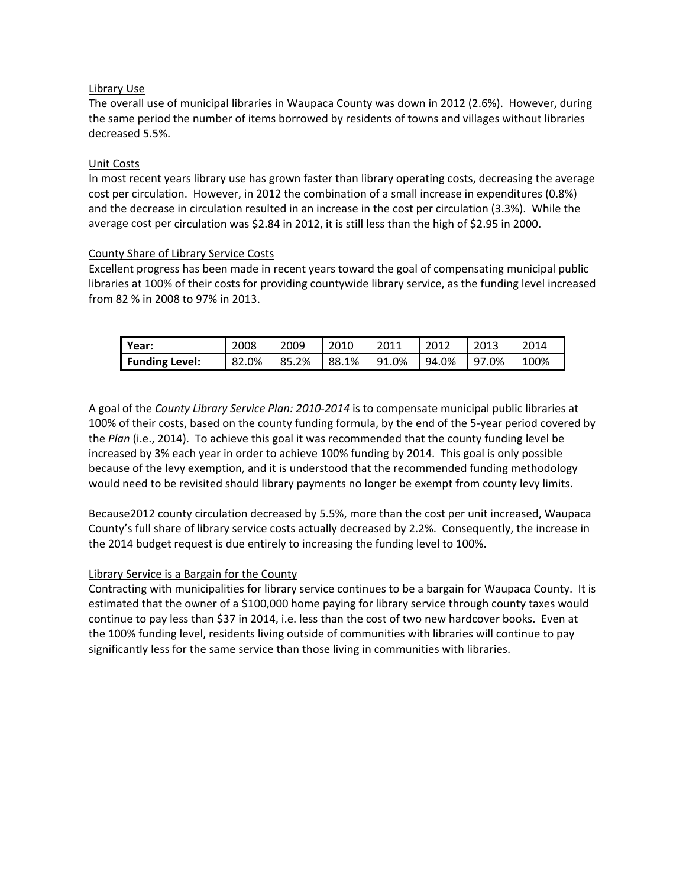## Library Use

The overall use of municipal libraries in Waupaca County was down in 2012 (2.6%). However, during the same period the number of items borrowed by residents of towns and villages without libraries decreased 5.5%.

## Unit Costs

In most recent years library use has grown faster than library operating costs, decreasing the average cost per circulation. However, in 2012 the combination of a small increase in expenditures (0.8%) and the decrease in circulation resulted in an increase in the cost per circulation (3.3%). While the average cost per circulation was \$2.84 in 2012, it is still less than the high of \$2.95 in 2000.

## County Share of Library Service Costs

Excellent progress has been made in recent years toward the goal of compensating municipal public libraries at 100% of their costs for providing countywide library service, as the funding level increased from 82 % in 2008 to 97% in 2013.

| Year:                 | 2008  | 2009  | 2010  | 2011  | 2012  | 2013  | 2014 |
|-----------------------|-------|-------|-------|-------|-------|-------|------|
| <b>Funding Level:</b> | 82.0% | 85.2% | 88.1% | 91.0% | 94.0% | 97.0% | 100% |

A goal of the *County Library Service Plan: 2010‐2014* is to compensate municipal public libraries at 100% of their costs, based on the county funding formula, by the end of the 5‐year period covered by the *Plan* (i.e., 2014). To achieve this goal it was recommended that the county funding level be increased by 3% each year in order to achieve 100% funding by 2014. This goal is only possible because of the levy exemption, and it is understood that the recommended funding methodology would need to be revisited should library payments no longer be exempt from county levy limits.

Because2012 county circulation decreased by 5.5%, more than the cost per unit increased, Waupaca County's full share of library service costs actually decreased by 2.2%. Consequently, the increase in the 2014 budget request is due entirely to increasing the funding level to 100%.

## Library Service is a Bargain for the County

Contracting with municipalities for library service continues to be a bargain for Waupaca County. It is estimated that the owner of a \$100,000 home paying for library service through county taxes would continue to pay less than \$37 in 2014, i.e. less than the cost of two new hardcover books. Even at the 100% funding level, residents living outside of communities with libraries will continue to pay significantly less for the same service than those living in communities with libraries.